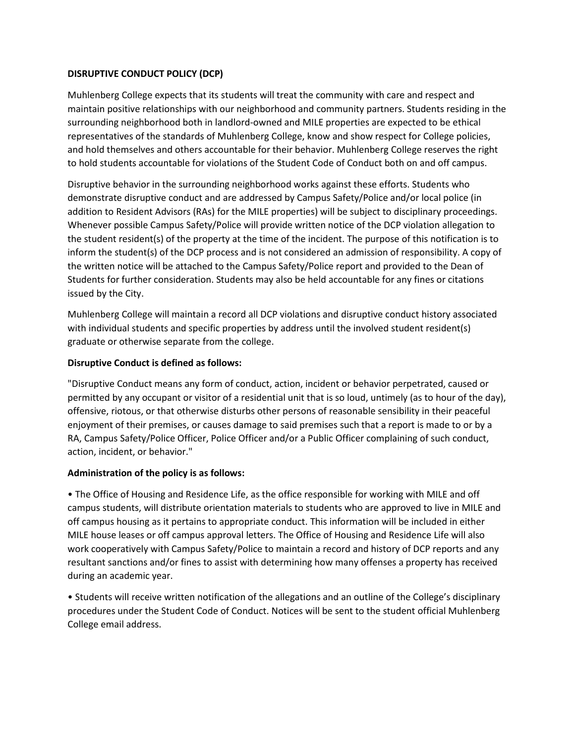## **DISRUPTIVE CONDUCT POLICY (DCP)**

Muhlenberg College expects that its students will treat the community with care and respect and maintain positive relationships with our neighborhood and community partners. Students residing in the surrounding neighborhood both in landlord-owned and MILE properties are expected to be ethical representatives of the standards of Muhlenberg College, know and show respect for College policies, and hold themselves and others accountable for their behavior. Muhlenberg College reserves the right to hold students accountable for violations of the Student Code of Conduct both on and off campus.

Disruptive behavior in the surrounding neighborhood works against these efforts. Students who demonstrate disruptive conduct and are addressed by Campus Safety/Police and/or local police (in addition to Resident Advisors (RAs) for the MILE properties) will be subject to disciplinary proceedings. Whenever possible Campus Safety/Police will provide written notice of the DCP violation allegation to the student resident(s) of the property at the time of the incident. The purpose of this notification is to inform the student(s) of the DCP process and is not considered an admission of responsibility. A copy of the written notice will be attached to the Campus Safety/Police report and provided to the Dean of Students for further consideration. Students may also be held accountable for any fines or citations issued by the City.

Muhlenberg College will maintain a record all DCP violations and disruptive conduct history associated with individual students and specific properties by address until the involved student resident(s) graduate or otherwise separate from the college.

## **Disruptive Conduct is defined as follows:**

"Disruptive Conduct means any form of conduct, action, incident or behavior perpetrated, caused or permitted by any occupant or visitor of a residential unit that is so loud, untimely (as to hour of the day), offensive, riotous, or that otherwise disturbs other persons of reasonable sensibility in their peaceful enjoyment of their premises, or causes damage to said premises such that a report is made to or by a RA, Campus Safety/Police Officer, Police Officer and/or a Public Officer complaining of such conduct, action, incident, or behavior."

## **Administration of the policy is as follows:**

• The Office of Housing and Residence Life, as the office responsible for working with MILE and off campus students, will distribute orientation materials to students who are approved to live in MILE and off campus housing as it pertains to appropriate conduct. This information will be included in either MILE house leases or off campus approval letters. The Office of Housing and Residence Life will also work cooperatively with Campus Safety/Police to maintain a record and history of DCP reports and any resultant sanctions and/or fines to assist with determining how many offenses a property has received during an academic year.

• Students will receive written notification of the allegations and an outline of the College's disciplinary procedures under the Student Code of Conduct. Notices will be sent to the student official Muhlenberg College email address.